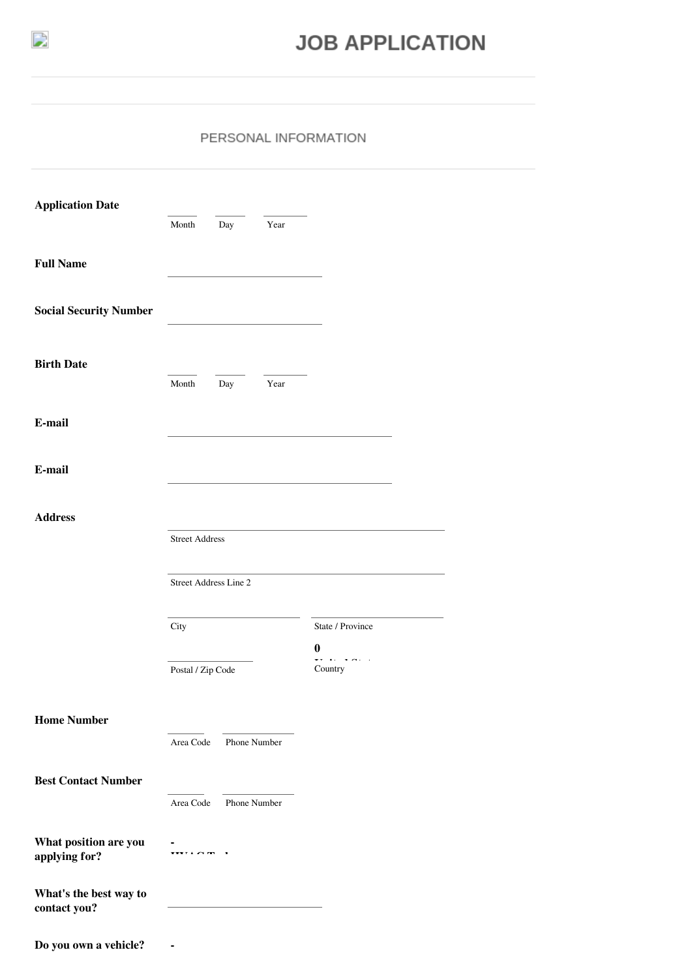

## **JOB APPLICATION**

## PERSONAL INFORMATION

| <b>Application Date</b>                | Month                 | Day          | Year                                                        |                                                             |
|----------------------------------------|-----------------------|--------------|-------------------------------------------------------------|-------------------------------------------------------------|
| <b>Full Name</b>                       |                       |              |                                                             |                                                             |
| <b>Social Security Number</b>          |                       |              |                                                             |                                                             |
|                                        |                       |              |                                                             |                                                             |
| <b>Birth Date</b>                      | Month                 | Day          | Year                                                        |                                                             |
| E-mail                                 |                       |              |                                                             |                                                             |
| E-mail                                 |                       |              |                                                             |                                                             |
| <b>Address</b>                         |                       |              |                                                             |                                                             |
|                                        | <b>Street Address</b> |              |                                                             |                                                             |
|                                        | Street Address Line 2 |              |                                                             |                                                             |
|                                        | City                  |              |                                                             | State / Province                                            |
|                                        | Postal / Zip Code     |              |                                                             | $\bf{0}$<br>$\sim$ $\sim$ $\sim$<br>$\mathbf{v}$<br>Country |
| <b>Home Number</b>                     |                       |              |                                                             |                                                             |
|                                        | Area Code             |              | Phone Number                                                |                                                             |
| <b>Best Contact Number</b>             |                       |              |                                                             |                                                             |
|                                        | Area Code             | Phone Number |                                                             |                                                             |
| What position are you<br>applying for? | $\cdots \cdots$       |              |                                                             |                                                             |
| What's the best way to<br>contact you? |                       |              | the control of the control of the control of the control of |                                                             |
| Do you own a vehicle?                  |                       |              |                                                             |                                                             |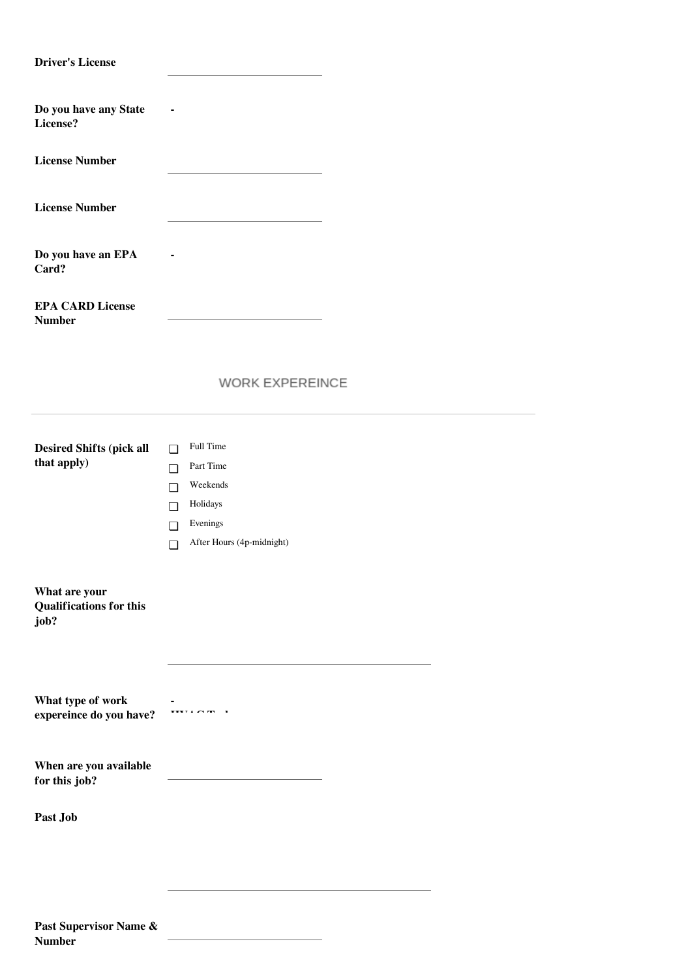| <b>Driver's License</b>                                 |                                                                            |  |  |  |
|---------------------------------------------------------|----------------------------------------------------------------------------|--|--|--|
| Do you have any State<br>License?                       |                                                                            |  |  |  |
| <b>License Number</b>                                   |                                                                            |  |  |  |
| <b>License Number</b>                                   |                                                                            |  |  |  |
| Do you have an EPA<br>Card?                             |                                                                            |  |  |  |
| <b>EPA CARD License</b><br><b>Number</b>                |                                                                            |  |  |  |
|                                                         | <b>WORK EXPEREINCE</b>                                                     |  |  |  |
| <b>Desired Shifts (pick all</b><br>that apply)          | Full Time<br>$\Box$<br>Part Time<br>$\Box$<br>Weekends<br>$\Box$           |  |  |  |
|                                                         | Holidays<br>$\Box$<br>Evenings<br>$\Box$<br>After Hours (4p-midnight)<br>◘ |  |  |  |
| What are your<br><b>Qualifications for this</b><br>job? |                                                                            |  |  |  |
| What type of work<br>expereince do you have?            | <b>*****</b> ^                                                             |  |  |  |
| When are you available<br>for this job?                 |                                                                            |  |  |  |
| Past Job                                                |                                                                            |  |  |  |
|                                                         |                                                                            |  |  |  |
| Past Supervisor Name &<br><b>Number</b>                 |                                                                            |  |  |  |

|  | т ам эйрсг нээг таг |  |
|--|---------------------|--|
|  | Number              |  |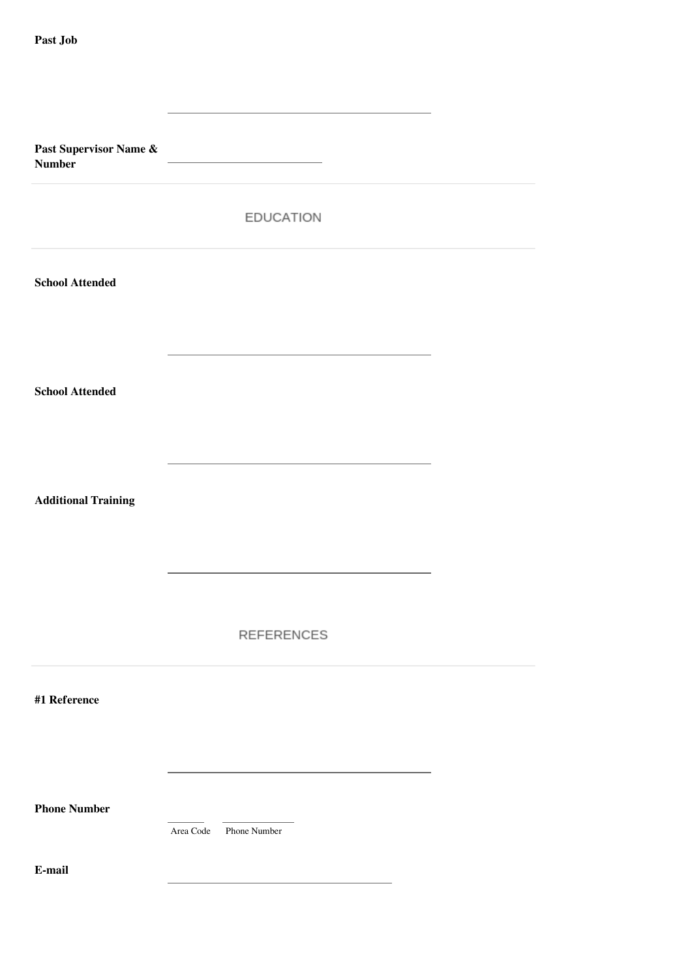| Past Supervisor Name $\&$<br><b>Number</b> |                           |  |
|--------------------------------------------|---------------------------|--|
|                                            | <b>EDUCATION</b>          |  |
| <b>School Attended</b>                     |                           |  |
| <b>School Attended</b>                     |                           |  |
| <b>Additional Training</b>                 |                           |  |
|                                            | REFERENCES                |  |
| #1 Reference                               |                           |  |
| <b>Phone Number</b>                        | Area Code<br>Phone Number |  |
| E-mail                                     |                           |  |